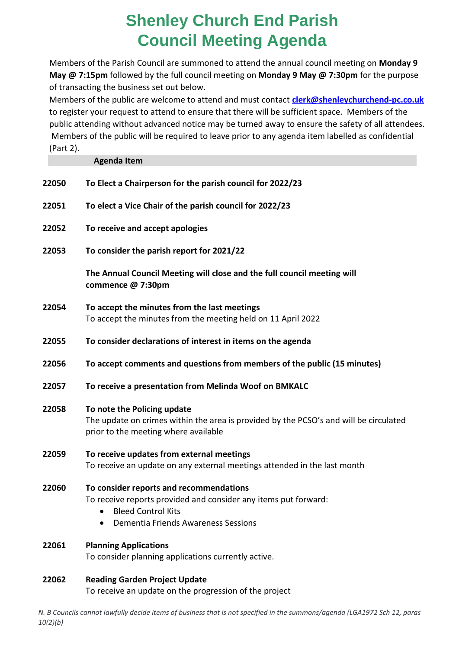## **Shenley Church End Parish Council Meeting Agenda**

Members of the Parish Council are summoned to attend the annual council meeting on **Monday 9 May @ 7:15pm** followed by the full council meeting on **Monday 9 May @ 7:30pm** for the purpose of transacting the business set out below.

Members of the public are welcome to attend and must contact **[clerk@shenleychurchend-pc.co.uk](mailto:clerk@shenleychurchend-pc.co.uk)** to register your request to attend to ensure that there will be sufficient space. Members of the public attending without advanced notice may be turned away to ensure the safety of all attendees. Members of the public will be required to leave prior to any agenda item labelled as confidential (Part 2).

#### **Agenda Item**

| 22050 | To Elect a Chairperson for the parish council for 2022/23                                                                                                                                          |
|-------|----------------------------------------------------------------------------------------------------------------------------------------------------------------------------------------------------|
| 22051 | To elect a Vice Chair of the parish council for 2022/23                                                                                                                                            |
| 22052 | To receive and accept apologies                                                                                                                                                                    |
| 22053 | To consider the parish report for 2021/22                                                                                                                                                          |
|       | The Annual Council Meeting will close and the full council meeting will<br>commence @ 7:30pm                                                                                                       |
| 22054 | To accept the minutes from the last meetings<br>To accept the minutes from the meeting held on 11 April 2022                                                                                       |
| 22055 | To consider declarations of interest in items on the agenda                                                                                                                                        |
| 22056 | To accept comments and questions from members of the public (15 minutes)                                                                                                                           |
| 22057 | To receive a presentation from Melinda Woof on BMKALC                                                                                                                                              |
| 22058 | To note the Policing update<br>The update on crimes within the area is provided by the PCSO's and will be circulated<br>prior to the meeting where available                                       |
| 22059 | To receive updates from external meetings<br>To receive an update on any external meetings attended in the last month                                                                              |
| 22060 | To consider reports and recommendations<br>To receive reports provided and consider any items put forward:<br><b>Bleed Control Kits</b><br>$\bullet$<br><b>Dementia Friends Awareness Sessions</b> |
| 22061 | <b>Planning Applications</b><br>To consider planning applications currently active.                                                                                                                |
| 22062 | <b>Reading Garden Project Update</b>                                                                                                                                                               |

To receive an update on the progression of the project